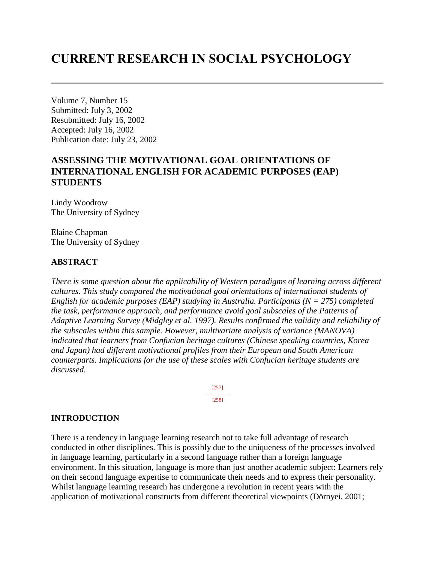# **CURRENT RESEARCH IN SOCIAL PSYCHOLOGY**

Volume 7, Number 15 Submitted: July 3, 2002 Resubmitted: July 16, 2002 Accepted: July 16, 2002 Publication date: July 23, 2002

# **ASSESSING THE MOTIVATIONAL GOAL ORIENTATIONS OF INTERNATIONAL ENGLISH FOR ACADEMIC PURPOSES (EAP) STUDENTS**

Lindy Woodrow The University of Sydney

Elaine Chapman The University of Sydney

### **ABSTRACT**

*There is some question about the applicability of Western paradigms of learning across different cultures. This study compared the motivational goal orientations of international students of English for academic purposes (EAP) studying in Australia. Participants (N = 275) completed the task, performance approach, and performance avoid goal subscales of the Patterns of Adaptive Learning Survey (Midgley et al. 1997). Results confirmed the validity and reliability of the subscales within this sample. However, multivariate analysis of variance (MANOVA) indicated that learners from Confucian heritage cultures (Chinese speaking countries, Korea and Japan) had different motivational profiles from their European and South American counterparts. Implications for the use of these scales with Confucian heritage students are discussed.*

> [257] --------------- [258]

### **INTRODUCTION**

There is a tendency in language learning research not to take full advantage of research conducted in other disciplines. This is possibly due to the uniqueness of the processes involved in language learning, particularly in a second language rather than a foreign language environment. In this situation, language is more than just another academic subject: Learners rely on their second language expertise to communicate their needs and to express their personality. Whilst language learning research has undergone a revolution in recent years with the application of motivational constructs from different theoretical viewpoints (Dörnyei, 2001;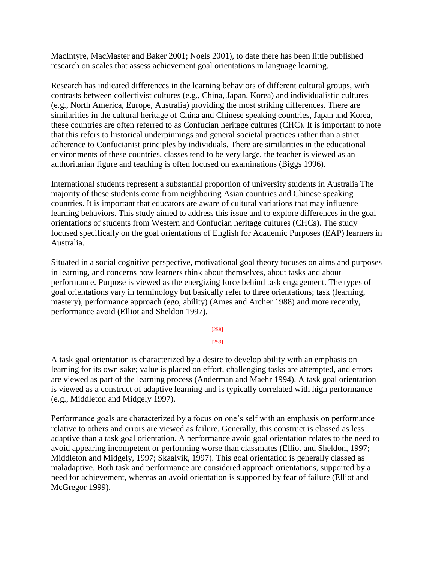MacIntyre, MacMaster and Baker 2001; Noels 2001), to date there has been little published research on scales that assess achievement goal orientations in language learning.

Research has indicated differences in the learning behaviors of different cultural groups, with contrasts between collectivist cultures (e.g., China, Japan, Korea) and individualistic cultures (e.g., North America, Europe, Australia) providing the most striking differences. There are similarities in the cultural heritage of China and Chinese speaking countries, Japan and Korea, these countries are often referred to as Confucian heritage cultures (CHC). It is important to note that this refers to historical underpinnings and general societal practices rather than a strict adherence to Confucianist principles by individuals. There are similarities in the educational environments of these countries, classes tend to be very large, the teacher is viewed as an authoritarian figure and teaching is often focused on examinations (Biggs 1996).

International students represent a substantial proportion of university students in Australia The majority of these students come from neighboring Asian countries and Chinese speaking countries. It is important that educators are aware of cultural variations that may influence learning behaviors. This study aimed to address this issue and to explore differences in the goal orientations of students from Western and Confucian heritage cultures (CHCs). The study focused specifically on the goal orientations of English for Academic Purposes (EAP) learners in Australia.

Situated in a social cognitive perspective, motivational goal theory focuses on aims and purposes in learning, and concerns how learners think about themselves, about tasks and about performance. Purpose is viewed as the energizing force behind task engagement. The types of goal orientations vary in terminology but basically refer to three orientations; task (learning, mastery), performance approach (ego, ability) (Ames and Archer 1988) and more recently, performance avoid (Elliot and Sheldon 1997).

> [258] --------------- [259]

A task goal orientation is characterized by a desire to develop ability with an emphasis on learning for its own sake; value is placed on effort, challenging tasks are attempted, and errors are viewed as part of the learning process (Anderman and Maehr 1994). A task goal orientation is viewed as a construct of adaptive learning and is typically correlated with high performance (e.g., Middleton and Midgely 1997).

Performance goals are characterized by a focus on one's self with an emphasis on performance relative to others and errors are viewed as failure. Generally, this construct is classed as less adaptive than a task goal orientation. A performance avoid goal orientation relates to the need to avoid appearing incompetent or performing worse than classmates (Elliot and Sheldon, 1997; Middleton and Midgely, 1997; Skaalvik, 1997). This goal orientation is generally classed as maladaptive. Both task and performance are considered approach orientations, supported by a need for achievement, whereas an avoid orientation is supported by fear of failure (Elliot and McGregor 1999).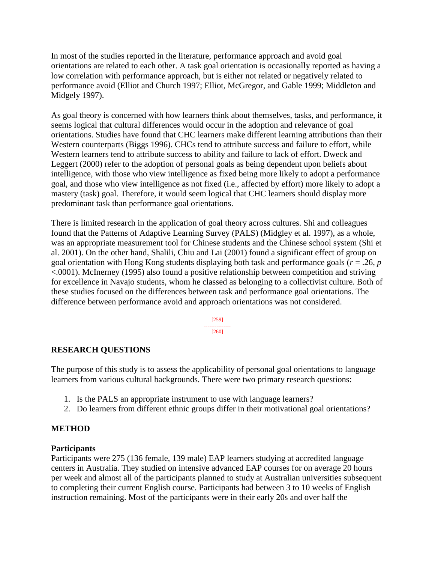In most of the studies reported in the literature, performance approach and avoid goal orientations are related to each other. A task goal orientation is occasionally reported as having a low correlation with performance approach, but is either not related or negatively related to performance avoid (Elliot and Church 1997; Elliot, McGregor, and Gable 1999; Middleton and Midgely 1997).

As goal theory is concerned with how learners think about themselves, tasks, and performance, it seems logical that cultural differences would occur in the adoption and relevance of goal orientations. Studies have found that CHC learners make different learning attributions than their Western counterparts (Biggs 1996). CHCs tend to attribute success and failure to effort, while Western learners tend to attribute success to ability and failure to lack of effort. Dweck and Leggert (2000) refer to the adoption of personal goals as being dependent upon beliefs about intelligence, with those who view intelligence as fixed being more likely to adopt a performance goal, and those who view intelligence as not fixed (i.e., affected by effort) more likely to adopt a mastery (task) goal. Therefore, it would seem logical that CHC learners should display more predominant task than performance goal orientations.

There is limited research in the application of goal theory across cultures. Shi and colleagues found that the Patterns of Adaptive Learning Survey (PALS) (Midgley et al. 1997), as a whole, was an appropriate measurement tool for Chinese students and the Chinese school system (Shi et al. 2001). On the other hand, Shalili, Chiu and Lai (2001) found a significant effect of group on goal orientation with Hong Kong students displaying both task and performance goals (*r* = .26, *p* <.0001). McInerney (1995) also found a positive relationship between competition and striving for excellence in Navajo students, whom he classed as belonging to a collectivist culture. Both of these studies focused on the differences between task and performance goal orientations. The difference between performance avoid and approach orientations was not considered.

> [259] --------------- [260]

# **RESEARCH QUESTIONS**

The purpose of this study is to assess the applicability of personal goal orientations to language learners from various cultural backgrounds. There were two primary research questions:

- 1. Is the PALS an appropriate instrument to use with language learners?
- 2. Do learners from different ethnic groups differ in their motivational goal orientations?

### **METHOD**

### **Participants**

Participants were 275 (136 female, 139 male) EAP learners studying at accredited language centers in Australia. They studied on intensive advanced EAP courses for on average 20 hours per week and almost all of the participants planned to study at Australian universities subsequent to completing their current English course. Participants had between 3 to 10 weeks of English instruction remaining. Most of the participants were in their early 20s and over half the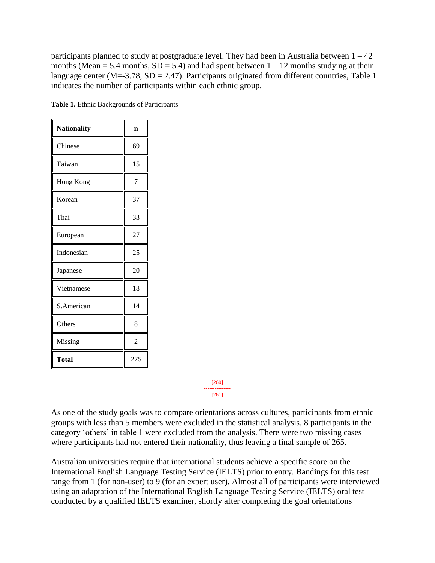participants planned to study at postgraduate level. They had been in Australia between  $1 - 42$ months (Mean = 5.4 months,  $SD = 5.4$ ) and had spent between  $1 - 12$  months studying at their language center (M=-3.78, SD = 2.47). Participants originated from different countries, Table 1 indicates the number of participants within each ethnic group.

| <b>Nationality</b> | n              |
|--------------------|----------------|
| Chinese            | 69             |
| Taiwan             | 15             |
| Hong Kong          | 7              |
| Korean             | 37             |
| Thai               | 33             |
| European           | 27             |
| Indonesian         | 25             |
| Japanese           | 20             |
| Vietnamese         | 18             |
| S.American         | 14             |
| Others             | 8              |
| Missing            | $\overline{2}$ |
| Total              | 275            |

**Table 1.** Ethnic Backgrounds of Participants

[260] --------------- [261]

As one of the study goals was to compare orientations across cultures, participants from ethnic groups with less than 5 members were excluded in the statistical analysis, 8 participants in the category 'others' in table 1 were excluded from the analysis. There were two missing cases where participants had not entered their nationality, thus leaving a final sample of 265.

Australian universities require that international students achieve a specific score on the International English Language Testing Service (IELTS) prior to entry. Bandings for this test range from 1 (for non-user) to 9 (for an expert user). Almost all of participants were interviewed using an adaptation of the International English Language Testing Service (IELTS) oral test conducted by a qualified IELTS examiner, shortly after completing the goal orientations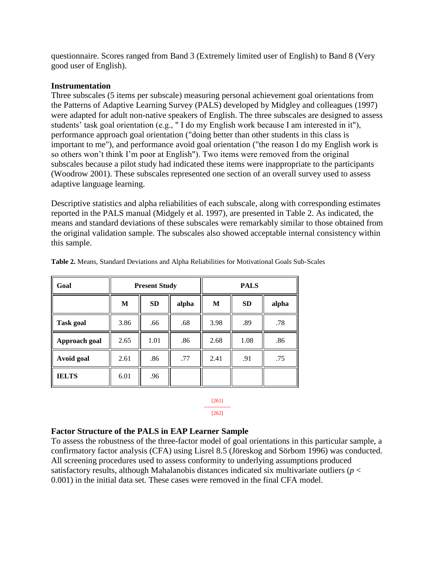questionnaire. Scores ranged from Band 3 (Extremely limited user of English) to Band 8 (Very good user of English).

### **Instrumentation**

Three subscales (5 items per subscale) measuring personal achievement goal orientations from the Patterns of Adaptive Learning Survey (PALS) developed by Midgley and colleagues (1997) were adapted for adult non-native speakers of English. The three subscales are designed to assess students' task goal orientation (e.g., " I do my English work because I am interested in it"), performance approach goal orientation ("doing better than other students in this class is important to me"), and performance avoid goal orientation ("the reason I do my English work is so others won't think I'm poor at English"). Two items were removed from the original subscales because a pilot study had indicated these items were inappropriate to the participants (Woodrow 2001). These subscales represented one section of an overall survey used to assess adaptive language learning.

Descriptive statistics and alpha reliabilities of each subscale, along with corresponding estimates reported in the PALS manual (Midgely et al. 1997), are presented in Table 2. As indicated, the means and standard deviations of these subscales were remarkably similar to those obtained from the original validation sample. The subscales also showed acceptable internal consistency within this sample.

| Goal             |      | <b>Present Study</b> |       | <b>PALS</b> |           |       |  |
|------------------|------|----------------------|-------|-------------|-----------|-------|--|
|                  | M    | <b>SD</b>            | alpha | M           | <b>SD</b> | alpha |  |
| <b>Task goal</b> | 3.86 | .66                  | .68   | 3.98        | .89       | .78   |  |
| Approach goal    | 2.65 | 1.01                 | .86   | 2.68        | 1.08      | .86   |  |
| Avoid goal       | 2.61 | .86                  | .77   | 2.41        | .91       | .75   |  |
| <b>IELTS</b>     | 6.01 | .96                  |       |             |           |       |  |

**Table 2.** Means, Standard Deviations and Alpha Reliabilities for Motivational Goals Sub-Scales

#### [261] --------------- [262]

# **Factor Structure of the PALS in EAP Learner Sample**

To assess the robustness of the three-factor model of goal orientations in this particular sample, a confirmatory factor analysis (CFA) using Lisrel 8.5 (Jöreskog and Sörbom 1996) was conducted. All screening procedures used to assess conformity to underlying assumptions produced satisfactory results, although Mahalanobis distances indicated six multivariate outliers (*p* < 0.001) in the initial data set. These cases were removed in the final CFA model.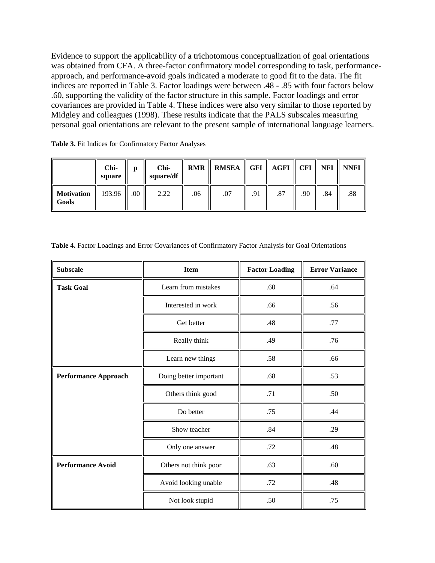Evidence to support the applicability of a trichotomous conceptualization of goal orientations was obtained from CFA. A three-factor confirmatory model corresponding to task, performanceapproach, and performance-avoid goals indicated a moderate to good fit to the data. The fit indices are reported in Table 3. Factor loadings were between .48 - .85 with four factors below .60, supporting the validity of the factor structure in this sample. Factor loadings and error covariances are provided in Table 4. These indices were also very similar to those reported by Midgley and colleagues (1998). These results indicate that the PALS subscales measuring personal goal orientations are relevant to the present sample of international language learners.

**Table 3.** Fit Indices for Confirmatory Factor Analyses

|                     | Chi-<br>square | Ŋ   | Chi-<br>square/df | RMR | <b>RMSEA</b> |     | GFI    AGFI    CFI |     | NFI | <b>NNFI</b> |
|---------------------|----------------|-----|-------------------|-----|--------------|-----|--------------------|-----|-----|-------------|
| Motivation<br>Goals | 193.96         | .00 | 2.22              | .06 | .07          | .91 | .87                | .90 | .84 | .88         |

|  | Table 4. Factor Loadings and Error Covariances of Confirmatory Factor Analysis for Goal Orientations |  |  |  |
|--|------------------------------------------------------------------------------------------------------|--|--|--|
|  |                                                                                                      |  |  |  |

| <b>Subscale</b>             | <b>Item</b>            | <b>Factor Loading</b> | <b>Error Variance</b> |
|-----------------------------|------------------------|-----------------------|-----------------------|
| <b>Task Goal</b>            | Learn from mistakes    | .60                   | .64                   |
|                             | Interested in work     | .66                   | .56                   |
|                             | Get better             | .48                   | .77                   |
|                             | Really think           | .49                   | .76                   |
|                             | Learn new things       | .58                   | .66                   |
| <b>Performance Approach</b> | Doing better important | .68                   | .53                   |
|                             | Others think good      | .71                   | .50                   |
|                             | Do better              | .75                   | .44                   |
|                             | Show teacher           | .84                   | .29                   |
|                             | Only one answer        | .72                   | .48                   |
| <b>Performance Avoid</b>    | Others not think poor  | .63                   | .60                   |
|                             | Avoid looking unable   | .72                   | .48                   |
|                             | Not look stupid        | .50                   | .75                   |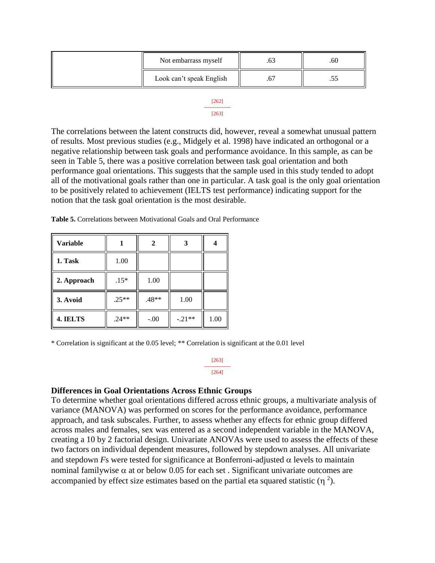| Not embarrass myself     | .ou |
|--------------------------|-----|
| Look can't speak English | ت ب |

[262] --------------- [263]

The correlations between the latent constructs did, however, reveal a somewhat unusual pattern of results. Most previous studies (e.g., Midgely et al. 1998) have indicated an orthogonal or a negative relationship between task goals and performance avoidance. In this sample, as can be seen in Table 5, there was a positive correlation between task goal orientation and both performance goal orientations. This suggests that the sample used in this study tended to adopt all of the motivational goals rather than one in particular. A task goal is the only goal orientation to be positively related to achievement (IELTS test performance) indicating support for the notion that the task goal orientation is the most desirable.

**Table 5.** Correlations between Motivational Goals and Oral Performance

| <b>Variable</b> |         |         |          |      |
|-----------------|---------|---------|----------|------|
| 1. Task         | 1.00    |         |          |      |
| 2. Approach     | $.15*$  | 1.00    |          |      |
| 3. Avoid        | $.25**$ | $.48**$ | 1.00     |      |
| 4. IELTS        | $.24**$ | $-.00$  | $-.21**$ | 1.00 |

\* Correlation is significant at the 0.05 level; \*\* Correlation is significant at the 0.01 level

[263] --------------- [264]

### **Differences in Goal Orientations Across Ethnic Groups**

To determine whether goal orientations differed across ethnic groups, a multivariate analysis of variance (MANOVA) was performed on scores for the performance avoidance, performance approach, and task subscales. Further, to assess whether any effects for ethnic group differed across males and females, sex was entered as a second independent variable in the MANOVA, creating a 10 by 2 factorial design. Univariate ANOVAs were used to assess the effects of these two factors on individual dependent measures, followed by stepdown analyses. All univariate and stepdown *F*s were tested for significance at Bonferroni-adjusted  $\alpha$  levels to maintain nominal familywise  $\alpha$  at or below 0.05 for each set. Significant univariate outcomes are accompanied by effect size estimates based on the partial eta squared statistic  $(\eta^2)$ .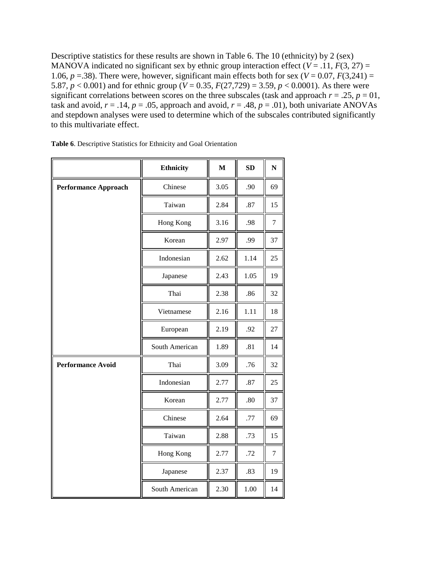Descriptive statistics for these results are shown in Table 6. The 10 (ethnicity) by 2 (sex) MANOVA indicated no significant sex by ethnic group interaction effect ( $V = .11$ ,  $F(3, 27) =$ 1.06,  $p = 0.38$ ). There were, however, significant main effects both for sex ( $V = 0.07$ ,  $F(3,241) =$ 5.87,  $p < 0.001$ ) and for ethnic group ( $V = 0.35$ ,  $F(27,729) = 3.59$ ,  $p < 0.0001$ ). As there were significant correlations between scores on the three subscales (task and approach  $r = .25$ ,  $p = 01$ , task and avoid,  $r = .14$ ,  $p = .05$ , approach and avoid,  $r = .48$ ,  $p = .01$ ), both univariate ANOVAs and stepdown analyses were used to determine which of the subscales contributed significantly to this multivariate effect.

|                             | <b>Ethnicity</b> | $\mathbf{M}$ | SD   | $\mathbf N$    |
|-----------------------------|------------------|--------------|------|----------------|
| <b>Performance Approach</b> | Chinese          | 3.05         | .90  | 69             |
|                             | Taiwan           | 2.84         | .87  | 15             |
|                             | Hong Kong        | 3.16         | .98  | $\overline{7}$ |
|                             | Korean           | 2.97         | .99  | 37             |
|                             | Indonesian       | 2.62         | 1.14 | 25             |
|                             | Japanese         | 2.43         | 1.05 | 19             |
|                             | Thai             | 2.38         | .86  | 32             |
|                             | Vietnamese       | 2.16         | 1.11 | 18             |
|                             | European         | 2.19         | .92  | 27             |
|                             | South American   | 1.89         | .81  | 14             |
| <b>Performance Avoid</b>    | Thai             | 3.09         | .76  | 32             |
|                             | Indonesian       | 2.77         | .87  | 25             |
|                             | Korean           | 2.77         | .80  | 37             |
|                             | Chinese          | 2.64         | .77  | 69             |
|                             | Taiwan           | 2.88         | .73  | 15             |
|                             | Hong Kong        | 2.77         | .72  | $\tau$         |
|                             | Japanese         | 2.37         | .83  | 19             |
|                             | South American   | 2.30         | 1.00 | 14             |

| Table 6. Descriptive Statistics for Ethnicity and Goal Orientation |  |
|--------------------------------------------------------------------|--|
|--------------------------------------------------------------------|--|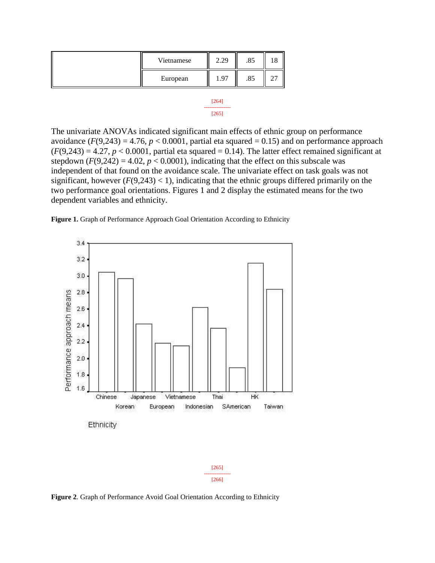| Vietnamese | 2.29 | .85 |  |
|------------|------|-----|--|
| European   | 1.97 | .85 |  |
|            |      |     |  |



The univariate ANOVAs indicated significant main effects of ethnic group on performance avoidance  $(F(9, 243) = 4.76, p < 0.0001$ , partial eta squared = 0.15) and on performance approach  $(F(9,243) = 4.27, p < 0.0001$ , partial eta squared = 0.14). The latter effect remained significant at stepdown  $(F(9,242) = 4.02, p < 0.0001)$ , indicating that the effect on this subscale was independent of that found on the avoidance scale. The univariate effect on task goals was not significant, however  $(F(9, 243) < 1)$ , indicating that the ethnic groups differed primarily on the two performance goal orientations. Figures 1 and 2 display the estimated means for the two dependent variables and ethnicity.

**Figure 1.** Graph of Performance Approach Goal Orientation According to Ethnicity



**Figure 2**. Graph of Performance Avoid Goal Orientation According to Ethnicity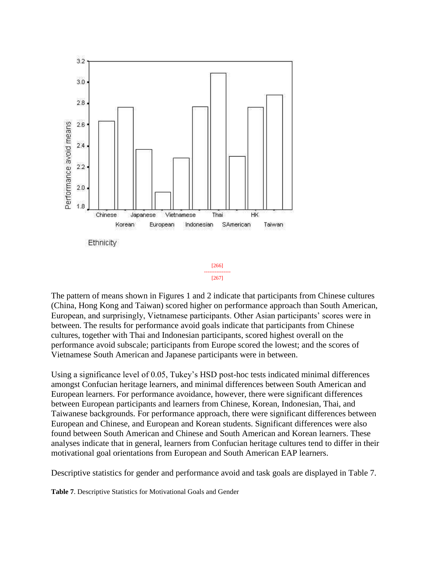

The pattern of means shown in Figures 1 and 2 indicate that participants from Chinese cultures (China, Hong Kong and Taiwan) scored higher on performance approach than South American, European, and surprisingly, Vietnamese participants. Other Asian participants' scores were in between. The results for performance avoid goals indicate that participants from Chinese cultures, together with Thai and Indonesian participants, scored highest overall on the performance avoid subscale; participants from Europe scored the lowest; and the scores of Vietnamese South American and Japanese participants were in between.

Using a significance level of 0.05, Tukey's HSD post-hoc tests indicated minimal differences amongst Confucian heritage learners, and minimal differences between South American and European learners. For performance avoidance, however, there were significant differences between European participants and learners from Chinese, Korean, Indonesian, Thai, and Taiwanese backgrounds. For performance approach, there were significant differences between European and Chinese, and European and Korean students. Significant differences were also found between South American and Chinese and South American and Korean learners. These analyses indicate that in general, learners from Confucian heritage cultures tend to differ in their motivational goal orientations from European and South American EAP learners.

Descriptive statistics for gender and performance avoid and task goals are displayed in Table 7.

**Table 7**. Descriptive Statistics for Motivational Goals and Gender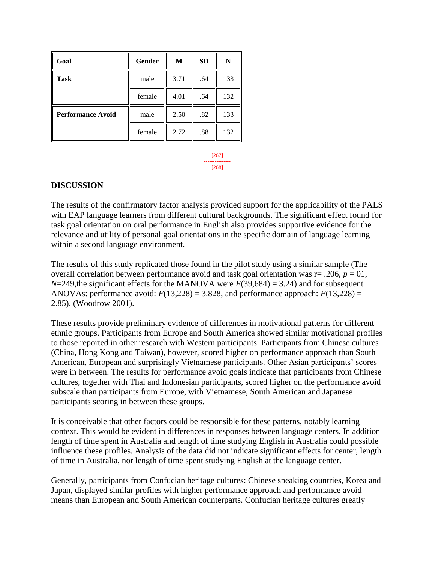| Goal                     | <b>Gender</b> | M    | <b>SD</b> | N   |
|--------------------------|---------------|------|-----------|-----|
| <b>Task</b>              | male          | 3.71 | .64       | 133 |
|                          | female        | 4.01 | .64       | 132 |
| <b>Performance Avoid</b> | male          | 2.50 | .82       | 133 |
|                          | female        | 2.72 | .88       | 132 |

[267] --------------- [268]

### **DISCUSSION**

The results of the confirmatory factor analysis provided support for the applicability of the PALS with EAP language learners from different cultural backgrounds. The significant effect found for task goal orientation on oral performance in English also provides supportive evidence for the relevance and utility of personal goal orientations in the specific domain of language learning within a second language environment.

The results of this study replicated those found in the pilot study using a similar sample (The overall correlation between performance avoid and task goal orientation was  $r = .206$ ,  $p = 01$ ,  $N=249$ , the significant effects for the MANOVA were  $F(39,684) = 3.24$ ) and for subsequent ANOVAs: performance avoid:  $F(13,228) = 3.828$ , and performance approach:  $F(13,228) =$ 2.85). (Woodrow 2001).

These results provide preliminary evidence of differences in motivational patterns for different ethnic groups. Participants from Europe and South America showed similar motivational profiles to those reported in other research with Western participants. Participants from Chinese cultures (China, Hong Kong and Taiwan), however, scored higher on performance approach than South American, European and surprisingly Vietnamese participants. Other Asian participants' scores were in between. The results for performance avoid goals indicate that participants from Chinese cultures, together with Thai and Indonesian participants, scored higher on the performance avoid subscale than participants from Europe, with Vietnamese, South American and Japanese participants scoring in between these groups.

It is conceivable that other factors could be responsible for these patterns, notably learning context. This would be evident in differences in responses between language centers. In addition length of time spent in Australia and length of time studying English in Australia could possible influence these profiles. Analysis of the data did not indicate significant effects for center, length of time in Australia, nor length of time spent studying English at the language center.

Generally, participants from Confucian heritage cultures: Chinese speaking countries, Korea and Japan, displayed similar profiles with higher performance approach and performance avoid means than European and South American counterparts. Confucian heritage cultures greatly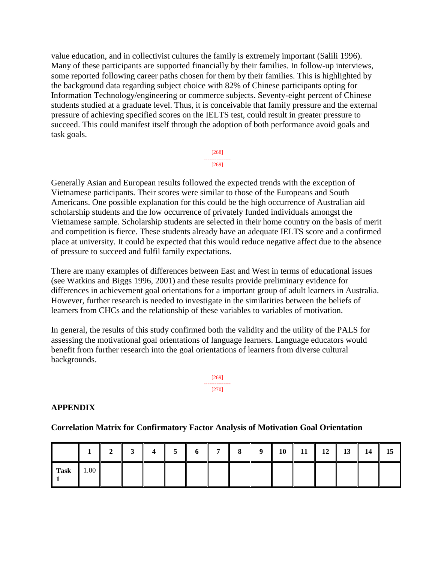value education, and in collectivist cultures the family is extremely important (Salili 1996). Many of these participants are supported financially by their families. In follow-up interviews, some reported following career paths chosen for them by their families. This is highlighted by the background data regarding subject choice with 82% of Chinese participants opting for Information Technology/engineering or commerce subjects. Seventy-eight percent of Chinese students studied at a graduate level. Thus, it is conceivable that family pressure and the external pressure of achieving specified scores on the IELTS test, could result in greater pressure to succeed. This could manifest itself through the adoption of both performance avoid goals and task goals.



Generally Asian and European results followed the expected trends with the exception of Vietnamese participants. Their scores were similar to those of the Europeans and South Americans. One possible explanation for this could be the high occurrence of Australian aid scholarship students and the low occurrence of privately funded individuals amongst the Vietnamese sample. Scholarship students are selected in their home country on the basis of merit and competition is fierce. These students already have an adequate IELTS score and a confirmed place at university. It could be expected that this would reduce negative affect due to the absence of pressure to succeed and fulfil family expectations.

There are many examples of differences between East and West in terms of educational issues (see Watkins and Biggs 1996, 2001) and these results provide preliminary evidence for differences in achievement goal orientations for a important group of adult learners in Australia. However, further research is needed to investigate in the similarities between the beliefs of learners from CHCs and the relationship of these variables to variables of motivation.

In general, the results of this study confirmed both the validity and the utility of the PALS for assessing the motivational goal orientations of language learners. Language educators would benefit from further research into the goal orientations of learners from diverse cultural backgrounds.



### **APPENDIX**

### **Correlation Matrix for Confirmatory Factor Analysis of Motivation Goal Orientation**

|      |                  |  |  | $4 \parallel 5 \parallel 6 \parallel 7 \parallel 8 \parallel 9 \parallel 10 \parallel 11 \parallel 12 \parallel$ |  |  |  | $13 \parallel 14 \parallel 15$ |  |
|------|------------------|--|--|------------------------------------------------------------------------------------------------------------------|--|--|--|--------------------------------|--|
| Task | $\parallel$ 1.00 |  |  |                                                                                                                  |  |  |  |                                |  |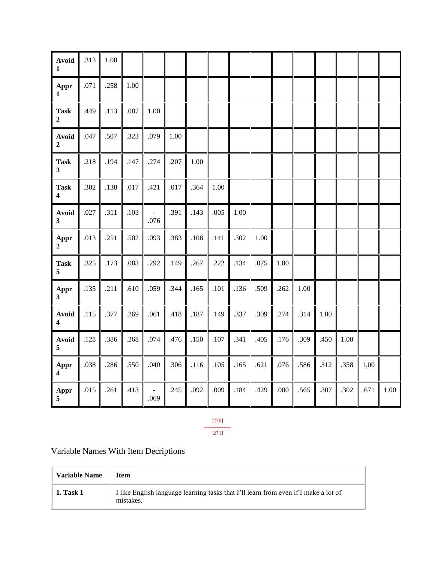| <b>Avoid</b><br>$\mathbf{1}$    | .313     | 1.00 |          |                                  |      |      |        |      |      |      |      |      |      |      |          |
|---------------------------------|----------|------|----------|----------------------------------|------|------|--------|------|------|------|------|------|------|------|----------|
| Appr<br>1                       | $.071\,$ | .258 | 1.00     |                                  |      |      |        |      |      |      |      |      |      |      |          |
| <b>Task</b><br>$\boldsymbol{2}$ | .449     | .113 | $.087\,$ | $1.00\,$                         |      |      |        |      |      |      |      |      |      |      |          |
| Avoid<br>$\boldsymbol{2}$       | .047     | .507 | .323     | .079                             | 1.00 |      |        |      |      |      |      |      |      |      |          |
| <b>Task</b><br>$\mathbf{3}$     | .218     | .194 | .147     | .274                             | .207 | 1.00 |        |      |      |      |      |      |      |      |          |
| <b>Task</b><br>4                | .302     | .138 | $.017$   | .421                             | .017 | .364 | 1.00   |      |      |      |      |      |      |      |          |
| <b>Avoid</b><br>$\mathbf{3}$    | .027     | .311 | .103     | $\bar{\phantom{a}}$<br>.076      | .391 | .143 | .005   | 1.00 |      |      |      |      |      |      |          |
| Appr<br>$\overline{2}$          | .013     | .251 | .502     | .093                             | .383 | .108 | .141   | .302 | 1.00 |      |      |      |      |      |          |
| <b>Task</b><br>5                | .325     | .173 | .083     | .292                             | .149 | .267 | .222   | .134 | .075 | 1.00 |      |      |      |      |          |
| Appr<br>$\mathbf{3}$            | .135     | .211 | .610     | .059                             | .344 | .165 | .101   | .136 | .509 | .262 | 1.00 |      |      |      |          |
| <b>Avoid</b><br>4               | .115     | .377 | .269     | .061                             | .418 | .187 | .149   | .337 | .309 | .274 | .314 | 1.00 |      |      |          |
| Avoid<br>5                      | .128     | .386 | .268     | .074                             | .476 | .150 | $.107$ | .341 | .405 | .176 | .309 | .450 | 1.00 |      |          |
| Appr<br>$\overline{\mathbf{4}}$ | .038     | .286 | .550     | .040                             | .306 | .116 | .105   | .165 | .621 | .076 | .586 | .312 | .358 | 1.00 |          |
| Appr<br>5                       | .015     | .261 | .413     | $\overline{\phantom{a}}$<br>.069 | .245 | .092 | .009   | .184 | .429 | .080 | .565 | .307 | .302 | .671 | $1.00\,$ |

[270] --------------- [271]

Variable Names With Item Decriptions

| <b>Variable Name</b> | <b>Item</b>                                                                                      |
|----------------------|--------------------------------------------------------------------------------------------------|
| <b>1. Task 1</b>     | I like English language learning tasks that I'll learn from even if I make a lot of<br>mistakes. |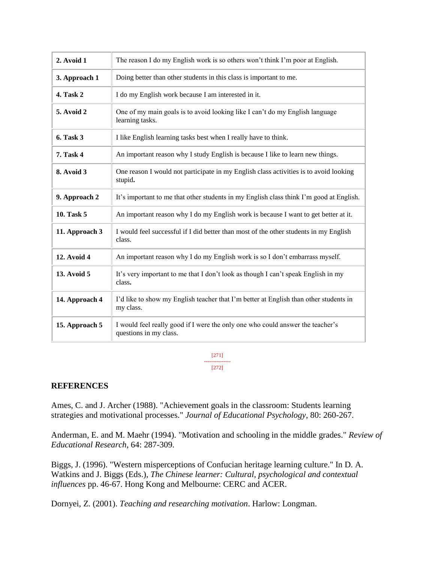| 2. Avoid 1         | The reason I do my English work is so others won't think I'm poor at English.                            |
|--------------------|----------------------------------------------------------------------------------------------------------|
| 3. Approach 1      | Doing better than other students in this class is important to me.                                       |
| 4. Task 2          | I do my English work because I am interested in it.                                                      |
| 5. Avoid 2         | One of my main goals is to avoid looking like I can't do my English language<br>learning tasks.          |
| <b>6. Task 3</b>   | I like English learning tasks best when I really have to think.                                          |
| 7. Task 4          | An important reason why I study English is because I like to learn new things.                           |
| 8. Avoid 3         | One reason I would not participate in my English class activities is to avoid looking<br>stupid.         |
| 9. Approach 2      | It's important to me that other students in my English class think I'm good at English.                  |
| <b>10. Task 5</b>  | An important reason why I do my English work is because I want to get better at it.                      |
| 11. Approach 3     | I would feel successful if I did better than most of the other students in my English<br>class.          |
| <b>12. Avoid 4</b> | An important reason why I do my English work is so I don't embarrass myself.                             |
| <b>13. Avoid 5</b> | It's very important to me that I don't look as though I can't speak English in my<br>class.              |
| 14. Approach 4     | I'd like to show my English teacher that I'm better at English than other students in<br>my class.       |
| 15. Approach 5     | I would feel really good if I were the only one who could answer the teacher's<br>questions in my class. |

[271] --------------- [272]

### **REFERENCES**

Ames, C. and J. Archer (1988). "Achievement goals in the classroom: Students learning strategies and motivational processes." *Journal of Educational Psychology,* 80: 260-267.

Anderman, E. and M. Maehr (1994). "Motivation and schooling in the middle grades." *Review of Educational Research*, 64: 287-309.

Biggs, J. (1996). "Western misperceptions of Confucian heritage learning culture." In D. A. Watkins and J. Biggs (Eds.), *The Chinese learner: Cultural, psychological and contextual influences* pp. 46-67. Hong Kong and Melbourne: CERC and ACER.

Dornyei, Z. (2001). *Teaching and researching motivation*. Harlow: Longman.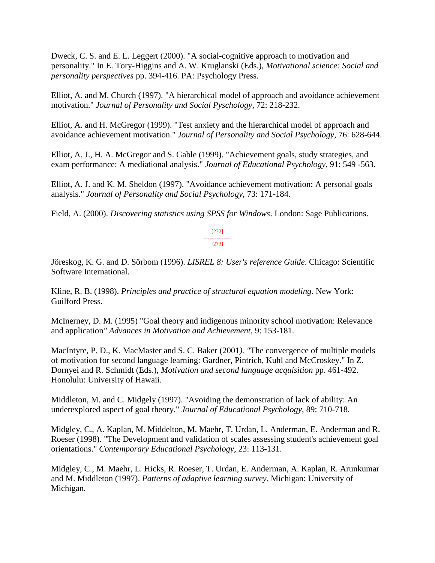Dweck, C. S. and E. L. Leggert (2000). "A social-cognitive approach to motivation and personality." In E. Tory-Higgins and A. W. Kruglanski (Eds.), *Motivational science: Social and personality perspectives* pp. 394-416. PA: Psychology Press.

Elliot, A. and M. Church (1997). "A hierarchical model of approach and avoidance achievement motivation." *Journal of Personality and Social Pyschology*, 72: 218-232.

Elliot, A. and H. McGregor (1999). "Test anxiety and the hierarchical model of approach and avoidance achievement motivation." *Journal of Personality and Social Psychology*, 76: 628-644.

Elliot, A. J., H. A. McGregor and S. Gable (1999). "Achievement goals, study strategies, and exam performance: A mediational analysis." *Journal of Educational Psychology,* 91: 549 -563.

Elliot, A. J. and K. M. Sheldon (1997). "Avoidance achievement motivation: A personal goals analysis." *Journal of Personality and Social Psychology,* 73: 171-184.

Field, A. (2000). *Discovering statistics using SPSS for Windows*. London: Sage Publications.

[272] --------------- [273]

Jöreskog, K. G. and D. Sörbom (1996). *LISREL 8: User's reference Guide*. Chicago: Scientific Software International.

Kline, R. B. (1998). *Principles and practice of structural equation modeling*. New York: Guilford Press.

McInerney, D. M. (1995) "Goal theory and indigenous minority school motivation: Relevance and application*" Advances in Motivation and Achievement,* 9: 153-181.

MacIntyre, P. D., K. MacMaster and S. C. Baker (2001*). "*The convergence of multiple models of motivation for second language learning: Gardner, Pintrich, Kuhl and McCroskey." In Z. Dornyei and R. Schmidt (Eds.), *Motivation and second language acquisition* pp. 461-492. Honolulu: University of Hawaii.

Middleton, M. and C. Midgely (1997). "Avoiding the demonstration of lack of ability: An underexplored aspect of goal theory." *Journal of Educational Psychology*, 89: 710-718.

Midgley, C., A. Kaplan, M. Middelton, M. Maehr, T. Urdan, L. Anderman, E. Anderman and R. Roeser (1998). "The Development and validation of scales assessing student's achievement goal orientations." *Contemporary Educational Psychology*, 23: 113-131.

Midgley, C., M. Maehr, L. Hicks, R. Roeser, T. Urdan, E. Anderman, A. Kaplan, R. Arunkumar and M. Middleton (1997). *Patterns of adaptive learning survey*. Michigan: University of Michigan.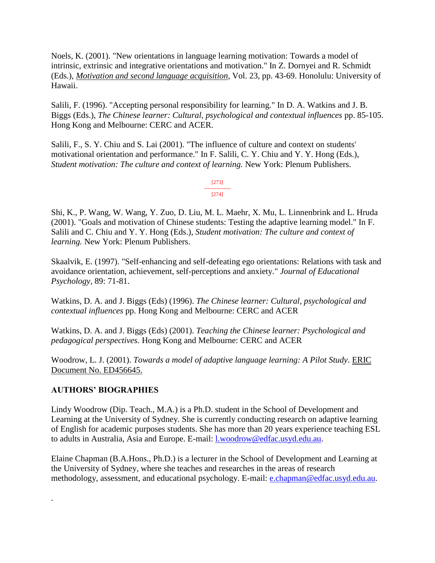Noels, K. (2001). "New orientations in language learning motivation: Towards a model of intrinsic, extrinsic and integrative orientations and motivation." In Z. Dornyei and R. Schmidt (Eds.), *Motivation and second language acquisition*, Vol. 23, pp. 43-69. Honolulu: University of Hawaii.

Salili, F. (1996). "Accepting personal responsibility for learning." In D. A. Watkins and J. B. Biggs (Eds.), *The Chinese learner: Cultural, psychological and contextual influences* pp. 85-105. Hong Kong and Melbourne: CERC and ACER.

Salili, F., S. Y. Chiu and S. Lai (2001). "The influence of culture and context on students' motivational orientation and performance." In F. Salili, C. Y. Chiu and Y. Y. Hong (Eds.), *Student motivation: The culture and context of learning.* New York: Plenum Publishers.

> [273] --------------- [274]

Shi, K., P. Wang, W. Wang, Y. Zuo, D. Liu, M. L. Maehr, X. Mu, L. Linnenbrink and L. Hruda (2001). "Goals and motivation of Chinese students: Testing the adaptive learning model." In F. Salili and C. Chiu and Y. Y. Hong (Eds.), *Student motivation: The culture and context of learning.* New York: Plenum Publishers.

Skaalvik, E. (1997). "Self-enhancing and self-defeating ego orientations: Relations with task and avoidance orientation, achievement, self-perceptions and anxiety." *Journal of Educational Psychology,* 89: 71-81.

Watkins, D. A. and J. Biggs (Eds) (1996). *The Chinese learner: Cultural, psychological and contextual influences* pp. Hong Kong and Melbourne: CERC and ACER

Watkins, D. A. and J. Biggs (Eds) (2001). *Teaching the Chinese learner: Psychological and pedagogical perspectives.* Hong Kong and Melbourne: CERC and ACER

Woodrow, L. J. (2001). *Towards a model of adaptive language learning: A Pilot Study*. ERIC Document No. ED456645.

# **AUTHORS' BIOGRAPHIES**

.

Lindy Woodrow (Dip. Teach., M.A.) is a Ph.D. student in the School of Development and Learning at the University of Sydney. She is currently conducting research on adaptive learning of English for academic purposes students. She has more than 20 years experience teaching ESL to adults in Australia, Asia and Europe. E-mail: [l.woodrow@edfac.usyd.edu.au.](mailto:l.woodrow@edfac.usyd.edu.au)

Elaine Chapman (B.A.Hons., Ph.D.) is a lecturer in the School of Development and Learning at the University of Sydney, where she teaches and researches in the areas of research methodology, assessment, and educational psychology. E-mail: [e.chapman@edfac.usyd.edu.au.](mailto:e.chapman@edfac.usyd.edu.au)